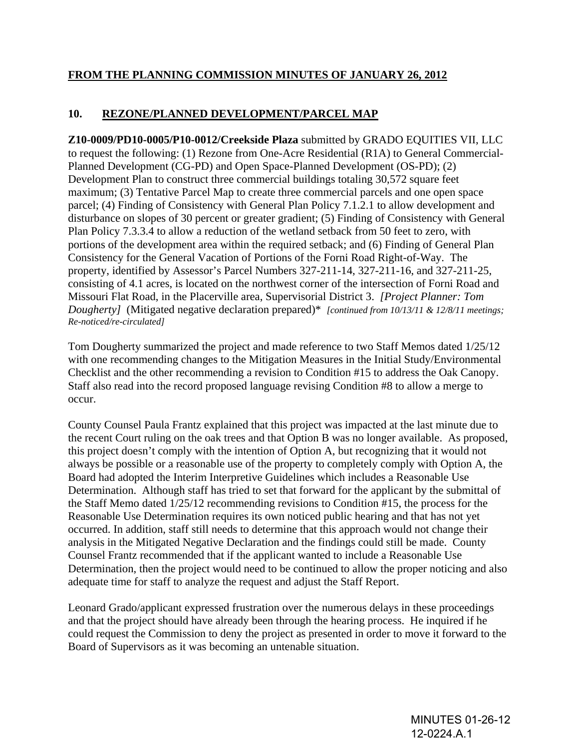## **FROM THE PLANNING COMMISSION MINUTES OF JANUARY 26, 2012**

## **10. REZONE/PLANNED DEVELOPMENT/PARCEL MAP**

**Z10-0009/PD10-0005/P10-0012/Creekside Plaza** submitted by GRADO EQUITIES VII, LLC to request the following: (1) Rezone from One-Acre Residential (R1A) to General Commercial-Planned Development (CG-PD) and Open Space-Planned Development (OS-PD); (2) Development Plan to construct three commercial buildings totaling 30,572 square feet maximum; (3) Tentative Parcel Map to create three commercial parcels and one open space parcel; (4) Finding of Consistency with General Plan Policy 7.1.2.1 to allow development and disturbance on slopes of 30 percent or greater gradient; (5) Finding of Consistency with General Plan Policy 7.3.3.4 to allow a reduction of the wetland setback from 50 feet to zero, with portions of the development area within the required setback; and (6) Finding of General Plan Consistency for the General Vacation of Portions of the Forni Road Right-of-Way. The property, identified by Assessor's Parcel Numbers 327-211-14, 327-211-16, and 327-211-25, consisting of 4.1 acres, is located on the northwest corner of the intersection of Forni Road and Missouri Flat Road, in the Placerville area, Supervisorial District 3. *[Project Planner: Tom Dougherty]* (Mitigated negative declaration prepared)\* *[continued from 10/13/11 & 12/8/11 meetings; Re-noticed/re-circulated]*

Tom Dougherty summarized the project and made reference to two Staff Memos dated 1/25/12 with one recommending changes to the Mitigation Measures in the Initial Study/Environmental Checklist and the other recommending a revision to Condition #15 to address the Oak Canopy. Staff also read into the record proposed language revising Condition #8 to allow a merge to occur.

County Counsel Paula Frantz explained that this project was impacted at the last minute due to the recent Court ruling on the oak trees and that Option B was no longer available. As proposed, this project doesn't comply with the intention of Option A, but recognizing that it would not always be possible or a reasonable use of the property to completely comply with Option A, the Board had adopted the Interim Interpretive Guidelines which includes a Reasonable Use Determination. Although staff has tried to set that forward for the applicant by the submittal of the Staff Memo dated 1/25/12 recommending revisions to Condition #15, the process for the Reasonable Use Determination requires its own noticed public hearing and that has not yet occurred. In addition, staff still needs to determine that this approach would not change their analysis in the Mitigated Negative Declaration and the findings could still be made. County Counsel Frantz recommended that if the applicant wanted to include a Reasonable Use Determination, then the project would need to be continued to allow the proper noticing and also adequate time for staff to analyze the request and adjust the Staff Report.

Leonard Grado/applicant expressed frustration over the numerous delays in these proceedings and that the project should have already been through the hearing process. He inquired if he could request the Commission to deny the project as presented in order to move it forward to the Board of Supervisors as it was becoming an untenable situation.

> MINUTES 01-26-12 12-0224.A.1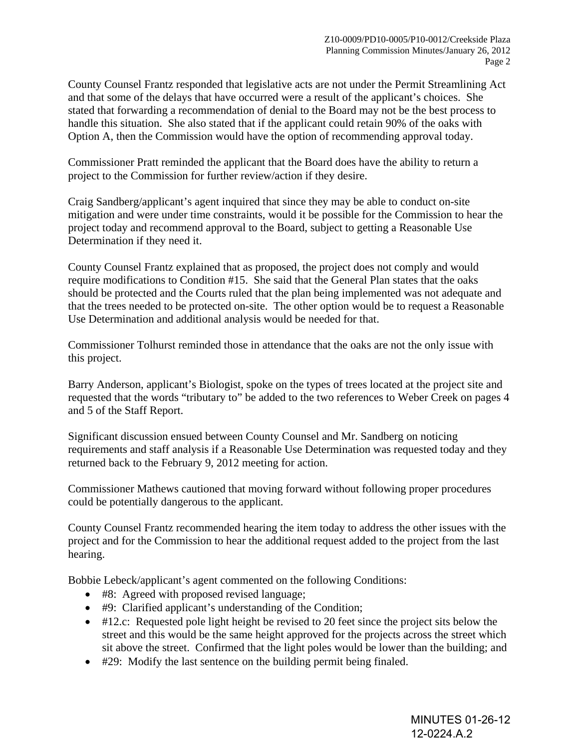County Counsel Frantz responded that legislative acts are not under the Permit Streamlining Act and that some of the delays that have occurred were a result of the applicant's choices. She stated that forwarding a recommendation of denial to the Board may not be the best process to handle this situation. She also stated that if the applicant could retain 90% of the oaks with Option A, then the Commission would have the option of recommending approval today.

Commissioner Pratt reminded the applicant that the Board does have the ability to return a project to the Commission for further review/action if they desire.

Craig Sandberg/applicant's agent inquired that since they may be able to conduct on-site mitigation and were under time constraints, would it be possible for the Commission to hear the project today and recommend approval to the Board, subject to getting a Reasonable Use Determination if they need it.

County Counsel Frantz explained that as proposed, the project does not comply and would require modifications to Condition #15. She said that the General Plan states that the oaks should be protected and the Courts ruled that the plan being implemented was not adequate and that the trees needed to be protected on-site. The other option would be to request a Reasonable Use Determination and additional analysis would be needed for that.

Commissioner Tolhurst reminded those in attendance that the oaks are not the only issue with this project.

Barry Anderson, applicant's Biologist, spoke on the types of trees located at the project site and requested that the words "tributary to" be added to the two references to Weber Creek on pages 4 and 5 of the Staff Report.

Significant discussion ensued between County Counsel and Mr. Sandberg on noticing requirements and staff analysis if a Reasonable Use Determination was requested today and they returned back to the February 9, 2012 meeting for action.

Commissioner Mathews cautioned that moving forward without following proper procedures could be potentially dangerous to the applicant.

County Counsel Frantz recommended hearing the item today to address the other issues with the project and for the Commission to hear the additional request added to the project from the last hearing.

Bobbie Lebeck/applicant's agent commented on the following Conditions:

- #8: Agreed with proposed revised language;
- #9: Clarified applicant's understanding of the Condition;
- #12.c: Requested pole light height be revised to 20 feet since the project sits below the street and this would be the same height approved for the projects across the street which sit above the street. Confirmed that the light poles would be lower than the building; and
- #29: Modify the last sentence on the building permit being finaled.

MINUTES 01-26-12 12-0224.A.2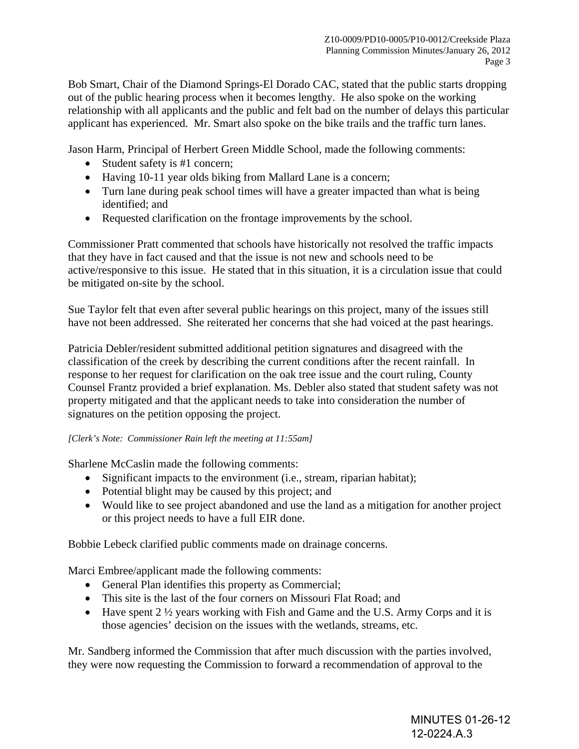Bob Smart, Chair of the Diamond Springs-El Dorado CAC, stated that the public starts dropping out of the public hearing process when it becomes lengthy. He also spoke on the working relationship with all applicants and the public and felt bad on the number of delays this particular applicant has experienced. Mr. Smart also spoke on the bike trails and the traffic turn lanes.

Jason Harm, Principal of Herbert Green Middle School, made the following comments:

- Student safety is #1 concern;
- Having 10-11 year olds biking from Mallard Lane is a concern;
- Turn lane during peak school times will have a greater impacted than what is being identified; and
- Requested clarification on the frontage improvements by the school.

Commissioner Pratt commented that schools have historically not resolved the traffic impacts that they have in fact caused and that the issue is not new and schools need to be active/responsive to this issue. He stated that in this situation, it is a circulation issue that could be mitigated on-site by the school.

Sue Taylor felt that even after several public hearings on this project, many of the issues still have not been addressed. She reiterated her concerns that she had voiced at the past hearings.

Patricia Debler/resident submitted additional petition signatures and disagreed with the classification of the creek by describing the current conditions after the recent rainfall. In response to her request for clarification on the oak tree issue and the court ruling, County Counsel Frantz provided a brief explanation. Ms. Debler also stated that student safety was not property mitigated and that the applicant needs to take into consideration the number of signatures on the petition opposing the project.

## *[Clerk's Note: Commissioner Rain left the meeting at 11:55am]*

Sharlene McCaslin made the following comments:

- Significant impacts to the environment (i.e., stream, riparian habitat);
- Potential blight may be caused by this project; and
- Would like to see project abandoned and use the land as a mitigation for another project or this project needs to have a full EIR done.

Bobbie Lebeck clarified public comments made on drainage concerns.

Marci Embree/applicant made the following comments:

- General Plan identifies this property as Commercial;
- This site is the last of the four corners on Missouri Flat Road; and
- Have spent  $2\frac{1}{2}$  years working with Fish and Game and the U.S. Army Corps and it is those agencies' decision on the issues with the wetlands, streams, etc.

Mr. Sandberg informed the Commission that after much discussion with the parties involved, they were now requesting the Commission to forward a recommendation of approval to the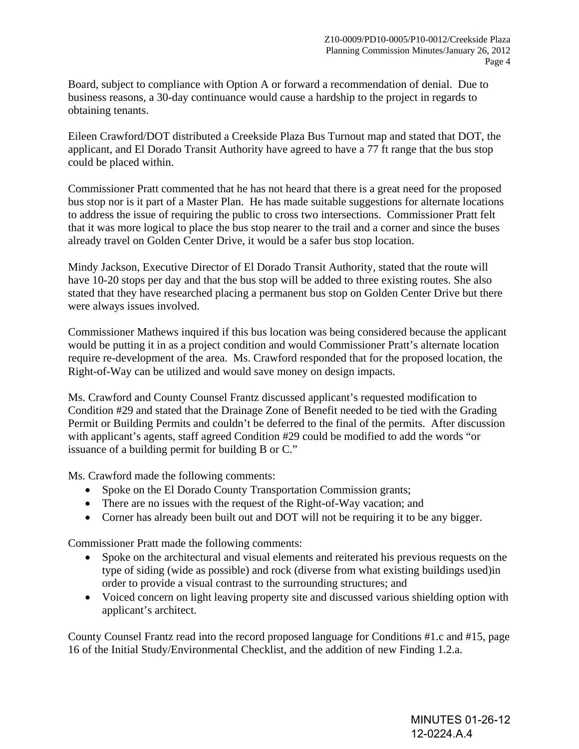Board, subject to compliance with Option A or forward a recommendation of denial. Due to business reasons, a 30-day continuance would cause a hardship to the project in regards to obtaining tenants.

Eileen Crawford/DOT distributed a Creekside Plaza Bus Turnout map and stated that DOT, the applicant, and El Dorado Transit Authority have agreed to have a 77 ft range that the bus stop could be placed within.

Commissioner Pratt commented that he has not heard that there is a great need for the proposed bus stop nor is it part of a Master Plan. He has made suitable suggestions for alternate locations to address the issue of requiring the public to cross two intersections. Commissioner Pratt felt that it was more logical to place the bus stop nearer to the trail and a corner and since the buses already travel on Golden Center Drive, it would be a safer bus stop location.

Mindy Jackson, Executive Director of El Dorado Transit Authority, stated that the route will have 10-20 stops per day and that the bus stop will be added to three existing routes. She also stated that they have researched placing a permanent bus stop on Golden Center Drive but there were always issues involved.

Commissioner Mathews inquired if this bus location was being considered because the applicant would be putting it in as a project condition and would Commissioner Pratt's alternate location require re-development of the area. Ms. Crawford responded that for the proposed location, the Right-of-Way can be utilized and would save money on design impacts.

Ms. Crawford and County Counsel Frantz discussed applicant's requested modification to Condition #29 and stated that the Drainage Zone of Benefit needed to be tied with the Grading Permit or Building Permits and couldn't be deferred to the final of the permits. After discussion with applicant's agents, staff agreed Condition #29 could be modified to add the words "or issuance of a building permit for building B or C."

Ms. Crawford made the following comments:

- Spoke on the El Dorado County Transportation Commission grants;
- There are no issues with the request of the Right-of-Way vacation; and
- Corner has already been built out and DOT will not be requiring it to be any bigger.

Commissioner Pratt made the following comments:

- Spoke on the architectural and visual elements and reiterated his previous requests on the type of siding (wide as possible) and rock (diverse from what existing buildings used)in order to provide a visual contrast to the surrounding structures; and
- Voiced concern on light leaving property site and discussed various shielding option with applicant's architect.

County Counsel Frantz read into the record proposed language for Conditions #1.c and #15, page 16 of the Initial Study/Environmental Checklist, and the addition of new Finding 1.2.a.